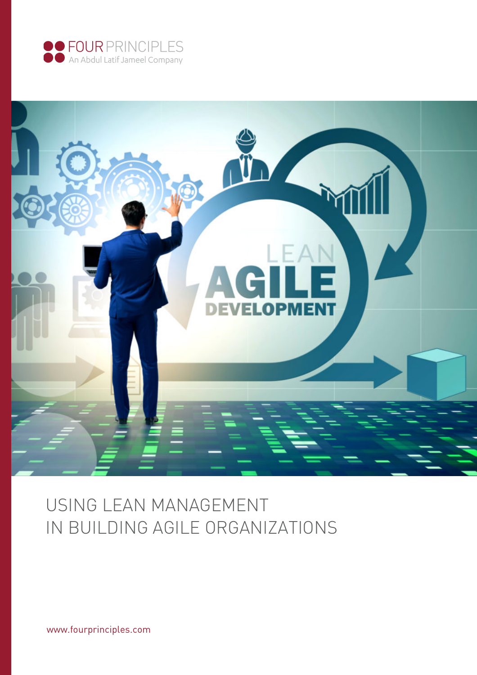



# USING LEAN MANAGEMENT IN BUILDING AGILE ORGANIZATIONS

www.fourprinciples.com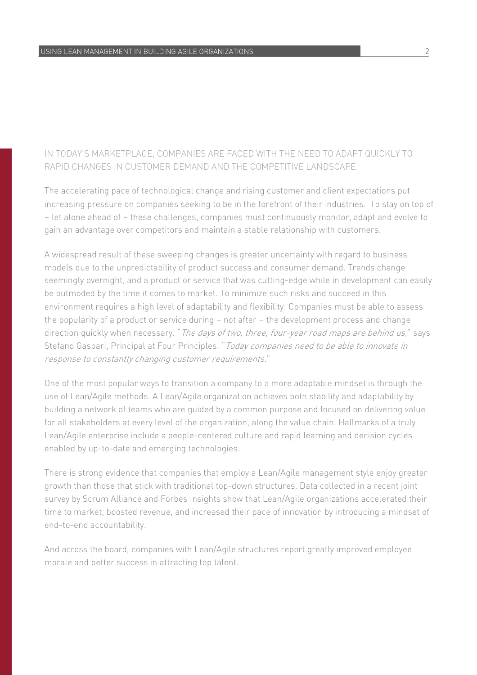#### IN TODAY'S MARKETPLACE, COMPANIES ARE FACED WITH THE NEED TO ADAPT QUICKLY TO RAPID CHANGES IN CUSTOMER DEMAND AND THE COMPETITIVE LANDSCAPE.

The accelerating pace of technological change and rising customer and client expectations put increasing pressure on companies seeking to be in the forefront of their industries. To stay on top of – let alone ahead of – these challenges, companies must continuously monitor, adapt and evolve to gain an advantage over competitors and maintain a stable relationship with customers.

A widespread result of these sweeping changes is greater uncertainty with regard to business models due to the unpredictability of product success and consumer demand. Trends change seemingly overnight, and a product or service that was cutting-edge while in development can easily be outmoded by the time it comes to market. To minimize such risks and succeed in this environment requires a high level of adaptability and flexibility. Companies must be able to assess the popularity of a product or service during – not after – the development process and change direction quickly when necessary. " The days of two, three, four-year road maps are behind us," says Stefano Gaspari, Principal at Four Principles. "Today companies need to be able to innovate in response to constantly changing customer requirements."

One of the most popular ways to transition a company to a more adaptable mindset is through the use of Lean/Agile methods. A Lean/Agile organization achieves both stability and adaptability by building a network of teams who are guided by a common purpose and focused on delivering value for all stakeholders at every level of the organization, along the value chain. Hallmarks of a truly Lean/Agile enterprise include a people-centered culture and rapid learning and decision cycles enabled by up-to-date and emerging technologies.

There is strong evidence that companies that employ a Lean/Agile management style enjoy greater growth than those that stick with traditional top-down structures. Data collected in a recent joint survey by Scrum Alliance and Forbes Insights show that Lean/Agile organizations accelerated their time to market, boosted revenue, and increased their pace of innovation by introducing a mindset of end-to-end accountability.

And across the board, companies with Lean/Agile structures report greatly improved employee morale and better success in attracting top talent.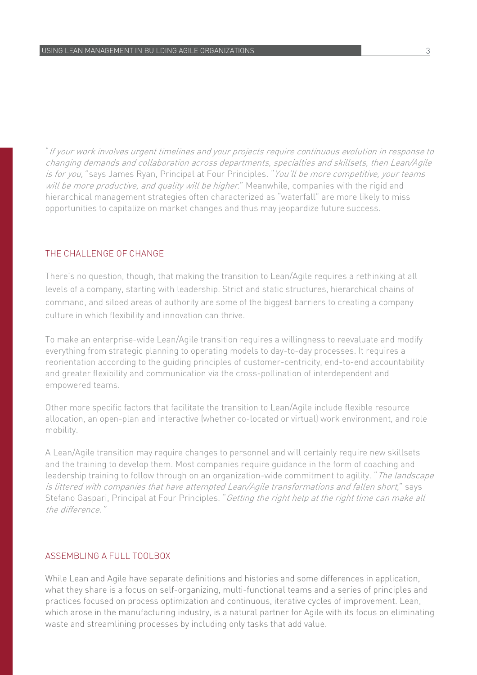"If your work involves urgent timelines and your projects require continuous evolution in response to changing demands and collaboration across departments, specialties and skillsets, then Lean/Agile is for you, "says James Ryan, Principal at Four Principles. "You'll be more competitive, your teams will be more productive, and quality will be higher." Meanwhile, companies with the rigid and hierarchical management strategies often characterized as "waterfall" are more likely to miss opportunities to capitalize on market changes and thus may jeopardize future success.

#### THE CHALLENGE OF CHANGE

There's no question, though, that making the transition to Lean/Agile requires a rethinking at all levels of a company, starting with leadership. Strict and static structures, hierarchical chains of command, and siloed areas of authority are some of the biggest barriers to creating a company culture in which flexibility and innovation can thrive.

To make an enterprise-wide Lean/Agile transition requires a willingness to reevaluate and modify everything from strategic planning to operating models to day-to-day processes. It requires a reorientation according to the guiding principles of customer-centricity, end-to-end accountability and greater flexibility and communication via the cross-pollination of interdependent and empowered teams.

Other more specific factors that facilitate the transition to Lean/Agile include flexible resource allocation, an open-plan and interactive (whether co-located or virtual) work environment, and role mobility.

A Lean/Agile transition may require changes to personnel and will certainly require new skillsets and the training to develop them. Most companies require guidance in the form of coaching and leadership training to follow through on an organization-wide commitment to agility. "The landscape is littered with companies that have attempted Lean/Agile transformations and fallen short," says Stefano Gaspari, Principal at Four Principles. "Getting the right help at the right time can make all the difference."

#### ASSEMBLING A FULL TOOLBOX

While Lean and Agile have separate definitions and histories and some differences in application, what they share is a focus on self-organizing, multi-functional teams and a series of principles and practices focused on process optimization and continuous, iterative cycles of improvement. Lean, which arose in the manufacturing industry, is a natural partner for Agile with its focus on eliminating waste and streamlining processes by including only tasks that add value.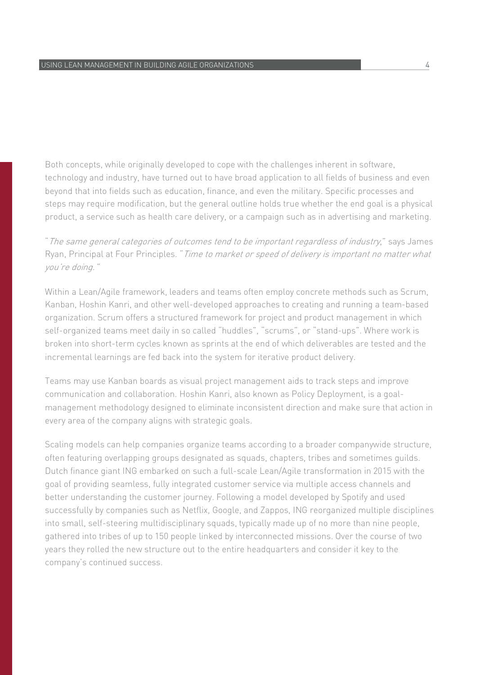Both concepts, while originally developed to cope with the challenges inherent in software, technology and industry, have turned out to have broad application to all fields of business and even beyond that into fields such as education, finance, and even the military. Specific processes and steps may require modification, but the general outline holds true whether the end goal is a physical product, a service such as health care delivery, or a campaign such as in advertising and marketing.

"The same general categories of outcomes tend to be important regardless of industry," says James Ryan, Principal at Four Principles. "Time to market or speed of delivery is important no matter what you're doing."

Within a Lean/Agile framework, leaders and teams often employ concrete methods such as Scrum, Kanban, Hoshin Kanri, and other well-developed approaches to creating and running a team-based organization. Scrum offers a structured framework for project and product management in which self-organized teams meet daily in so called "huddles", "scrums", or "stand-ups". Where work is broken into short-term cycles known as sprints at the end of which deliverables are tested and the incremental learnings are fed back into the system for iterative product delivery.

Teams may use Kanban boards as visual project management aids to track steps and improve communication and collaboration. Hoshin Kanri, also known as Policy Deployment, is a goalmanagement methodology designed to eliminate inconsistent direction and make sure that action in every area of the company aligns with strategic goals.

Scaling models can help companies organize teams according to a broader companywide structure, often featuring overlapping groups designated as squads, chapters, tribes and sometimes guilds. Dutch finance giant ING embarked on such a full-scale Lean/Agile transformation in 2015 with the goal of providing seamless, fully integrated customer service via multiple access channels and better understanding the customer journey. Following a model developed by Spotify and used successfully by companies such as Netflix, Google, and Zappos, ING reorganized multiple disciplines into small, self-steering multidisciplinary squads, typically made up of no more than nine people, gathered into tribes of up to 150 people linked by interconnected missions. Over the course of two years they rolled the new structure out to the entire headquarters and consider it key to the company's continued success.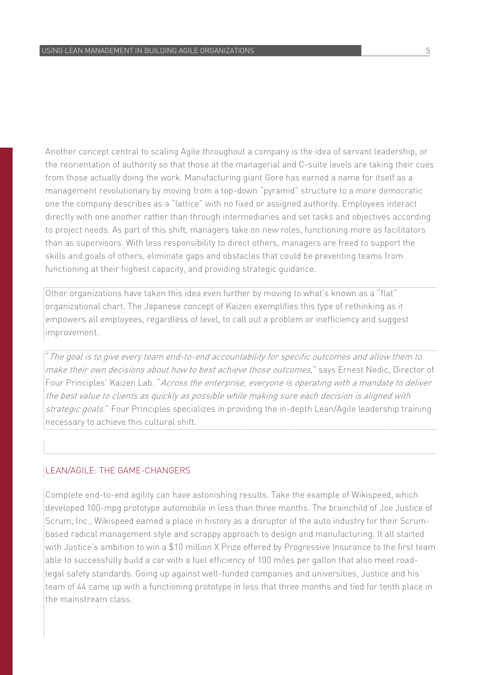Another concept central to scaling Agile throughout a company is the idea of servant leadership, or the reorientation of authority so that those at the managerial and C-suite levels are taking their cues from those actually doing the work. Manufacturing giant Gore has earned a name for itself as a management revolutionary by moving from a top-down "pyramid" structure to a more democratic one the company describes as a "lattice" with no fixed or assigned authority. Employees interact directly with one another rather than through intermediaries and set tasks and objectives according to project needs. As part of this shift, managers take on new roles, functioning more as facilitators than as supervisors. With less responsibility to direct others, managers are freed to support the skills and goals of others, eliminate gaps and obstacles that could be preventing teams from functioning at their highest capacity, and providing strategic guidance.

Other organizations have taken this idea even further by moving to what's known as a "flat" organizational chart. The Japanese concept of Kaizen exemplifies this type of rethinking as it empowers all employees, regardless of level, to call out a problem or inefficiency and suggest improvement.

"The goal is to give every team end-to-end accountability for specific outcomes and allow them to make their own decisions about how to best achieve those outcomes," says Ernest Nedic, Director of Four Principles' Kaizen Lab. "Across the enterprise, everyone is operating with a mandate to deliver the best value to clients as quickly as possible while making sure each decision is aligned with strategic goals." Four Principles specializes in providing the in-depth Lean/Agile leadership training necessary to achieve this cultural shift.

#### LEAN/AGILE: THE GAME-CHANGERS

Complete end-to-end agility can have astonishing results. Take the example of Wikispeed, which developed 100-mpg prototype automobile in less than three months. The brainchild of Joe Justice of Scrum, Inc., Wikispeed earned a place in history as a disruptor of the auto industry for their Scrumbased radical management style and scrappy approach to design and manufacturing. It all started with Justice's ambition to win a \$10 million X Prize offered by Progressive Insurance to the first team able to successfully build a car with a fuel efficiency of 100 miles per gallon that also meet roadlegal safety standards. Going up against well-funded companies and universities, Justice and his team of 44 came up with a functioning prototype in less that three months and tied for tenth place in the mainstream class.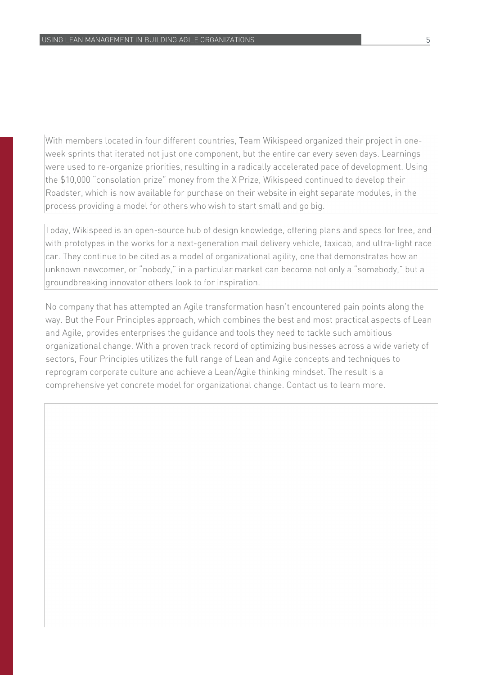With members located in four different countries, Team Wikispeed organized their project in oneweek sprints that iterated not just one component, but the entire car every seven days. Learnings were used to re-organize priorities, resulting in a radically accelerated pace of development. Using the \$10,000 "consolation prize" money from the X Prize, Wikispeed continued to develop their Roadster, which is now available for purchase on their website in eight separate modules, in the process providing a model for others who wish to start small and go big.

Today, Wikispeed is an open-source hub of design knowledge, offering plans and specs for free, and with prototypes in the works for a next-generation mail delivery vehicle, taxicab, and ultra-light race car. They continue to be cited as a model of organizational agility, one that demonstrates how an unknown newcomer, or "nobody," in a particular market can become not only a "somebody," but a groundbreaking innovator others look to for inspiration.

No company that has attempted an Agile transformation hasn't encountered pain points along the way. But the Four Principles approach, which combines the best and most practical aspects of Lean and Agile, provides enterprises the guidance and tools they need to tackle such ambitious organizational change. With a proven track record of optimizing businesses across a wide variety of sectors, Four Principles utilizes the full range of Lean and Agile concepts and techniques to reprogram corporate culture and achieve a Lean/Agile thinking mindset. The result is a comprehensive yet concrete model for organizational change. Contact us to learn more.